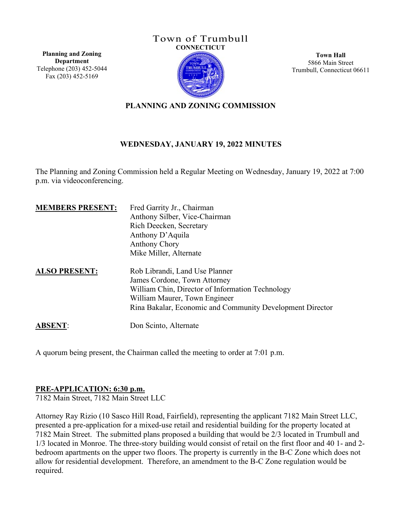#### Town of Trumbull **CONNECTICUT**

**Planning and Zoning Department** Telephone (203) 452-5044 Fax (203) 452-5169



**Town Hall** 5866 Main Street Trumbull, Connecticut 06611

**PLANNING AND ZONING COMMISSION**

## **WEDNESDAY, JANUARY 19, 2022 MINUTES**

The Planning and Zoning Commission held a Regular Meeting on Wednesday, January 19, 2022 at 7:00 p.m. via videoconferencing.

| <b>MEMBERS PRESENT:</b> | Fred Garrity Jr., Chairman<br>Anthony Silber, Vice-Chairman<br>Rich Deecken, Secretary<br>Anthony D'Aquila<br><b>Anthony Chory</b><br>Mike Miller, Alternate                                                     |
|-------------------------|------------------------------------------------------------------------------------------------------------------------------------------------------------------------------------------------------------------|
| <b>ALSO PRESENT:</b>    | Rob Librandi, Land Use Planner<br>James Cordone, Town Attorney<br>William Chin, Director of Information Technology<br>William Maurer, Town Engineer<br>Rina Bakalar, Economic and Community Development Director |
| <b>ABSENT:</b>          | Don Scinto, Alternate                                                                                                                                                                                            |

A quorum being present, the Chairman called the meeting to order at 7:01 p.m.

#### **PRE-APPLICATION: 6:30 p.m.**

7182 Main Street, 7182 Main Street LLC

Attorney Ray Rizio (10 Sasco Hill Road, Fairfield), representing the applicant 7182 Main Street LLC, presented a pre-application for a mixed-use retail and residential building for the property located at 7182 Main Street. The submitted plans proposed a building that would be 2/3 located in Trumbull and 1/3 located in Monroe. The three-story building would consist of retail on the first floor and 40 1- and 2 bedroom apartments on the upper two floors. The property is currently in the B-C Zone which does not allow for residential development. Therefore, an amendment to the B-C Zone regulation would be required.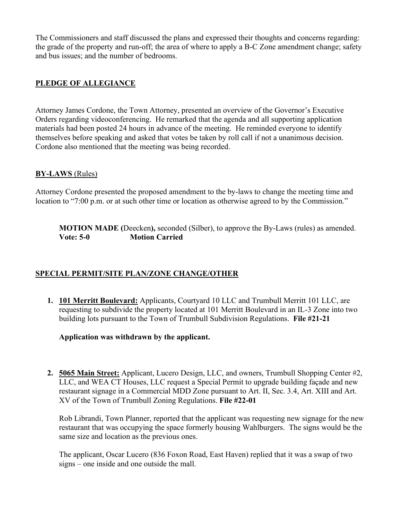The Commissioners and staff discussed the plans and expressed their thoughts and concerns regarding: the grade of the property and run-off; the area of where to apply a B-C Zone amendment change; safety and bus issues; and the number of bedrooms.

## **PLEDGE OF ALLEGIANCE**

Attorney James Cordone, the Town Attorney, presented an overview of the Governor's Executive Orders regarding videoconferencing. He remarked that the agenda and all supporting application materials had been posted 24 hours in advance of the meeting. He reminded everyone to identify themselves before speaking and asked that votes be taken by roll call if not a unanimous decision. Cordone also mentioned that the meeting was being recorded.

### **BY-LAWS** (Rules)

Attorney Cordone presented the proposed amendment to the by-laws to change the meeting time and location to "7:00 p.m. or at such other time or location as otherwise agreed to by the Commission."

**MOTION MADE (**Deecken**),** seconded (Silber), to approve the By-Laws (rules) as amended. **Vote: 5-0 Motion Carried**

# **SPECIAL PERMIT/SITE PLAN/ZONE CHANGE/OTHER**

**1. 101 Merritt Boulevard:** Applicants, Courtyard 10 LLC and Trumbull Merritt 101 LLC, are requesting to subdivide the property located at 101 Merritt Boulevard in an IL-3 Zone into two building lots pursuant to the Town of Trumbull Subdivision Regulations. **File #21-21**

**Application was withdrawn by the applicant.**

**2. 5065 Main Street:** Applicant, Lucero Design, LLC, and owners, Trumbull Shopping Center #2, LLC, and WEA CT Houses, LLC request a Special Permit to upgrade building façade and new restaurant signage in a Commercial MDD Zone pursuant to Art. II, Sec. 3.4, Art. XIII and Art. XV of the Town of Trumbull Zoning Regulations. **File #22-01**

Rob Librandi, Town Planner, reported that the applicant was requesting new signage for the new restaurant that was occupying the space formerly housing Wahlburgers. The signs would be the same size and location as the previous ones.

The applicant, Oscar Lucero (836 Foxon Road, East Haven) replied that it was a swap of two signs – one inside and one outside the mall.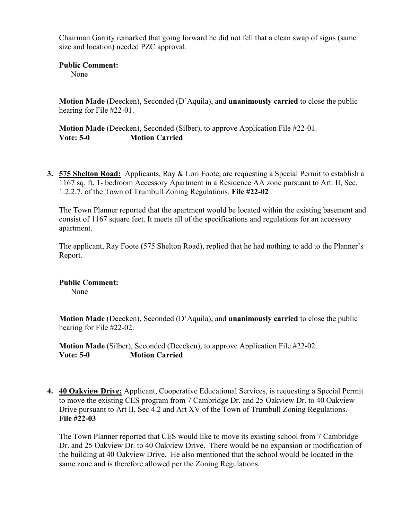Chairman Garrity remarked that going forward he did not fell that a clean swap of signs (same size and location) needed PZC approval.

#### **Public Comment:**

None

**Motion Made** (Deecken), Seconded (D'Aquila), and **unanimously carried** to close the public hearing for File #22-01.

**Motion Made** (Deecken), Seconded (Silber), to approve Application File #22-01. **Vote: 5-0 Motion Carried**

**3. 575 Shelton Road:** Applicants, Ray & Lori Foote, are requesting a Special Permit to establish a 1167 sq. ft. 1- bedroom Accessory Apartment in a Residence AA zone pursuant to Art. II, Sec. 1.2.2.7, of the Town of Trumbull Zoning Regulations. **File #22-02**

The Town Planner reported that the apartment would be located within the existing basement and consist of 1167 square feet. It meets all of the specifications and regulations for an accessory apartment.

The applicant, Ray Foote (575 Shelton Road), replied that he had nothing to add to the Planner's Report.

**Public Comment:** None

**Motion Made** (Deecken), Seconded (D'Aquila), and **unanimously carried** to close the public hearing for File #22-02.

**Motion Made** (Silber), Seconded (Deecken), to approve Application File #22-02. **Vote: 5-0 Motion Carried**

**4. 40 Oakview Drive:** Applicant, Cooperative Educational Services, is requesting a Special Permit to move the existing CES program from 7 Cambridge Dr. and 25 Oakview Dr. to 40 Oakview Drive pursuant to Art II, Sec 4.2 and Art XV of the Town of Trumbull Zoning Regulations. **File #22-03**

The Town Planner reported that CES would like to move its existing school from 7 Cambridge Dr. and 25 Oakview Dr. to 40 Oakview Drive. There would be no expansion or modification of the building at 40 Oakview Drive. He also mentioned that the school would be located in the same zone and is therefore allowed per the Zoning Regulations.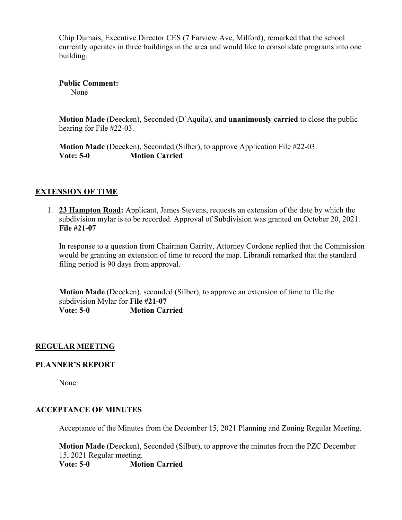Chip Dumais, Executive Director CES (7 Farview Ave, Milford), remarked that the school currently operates in three buildings in the area and would like to consolidate programs into one building.

**Public Comment:** None

**Motion Made** (Deecken), Seconded (D'Aquila), and **unanimously carried** to close the public hearing for File #22-03.

**Motion Made** (Deecken), Seconded (Silber), to approve Application File #22-03. **Vote: 5-0 Motion Carried**

### **EXTENSION OF TIME**

1. **23 Hampton Road:** Applicant, James Stevens, requests an extension of the date by which the subdivision mylar is to be recorded. Approval of Subdivision was granted on October 20, 2021. **File #21-07**

In response to a question from Chairman Garrity, Attorney Cordone replied that the Commission would be granting an extension of time to record the map. Librandi remarked that the standard filing period is 90 days from approval.

**Motion Made** (Deecken), seconded (Silber), to approve an extension of time to file the subdivision Mylar for **File #21-07 Vote: 5-0 Motion Carried**

### **REGULAR MEETING**

#### **PLANNER'S REPORT**

None

#### **ACCEPTANCE OF MINUTES**

Acceptance of the Minutes from the December 15, 2021 Planning and Zoning Regular Meeting.

**Motion Made** (Deecken), Seconded (Silber), to approve the minutes from the PZC December 15, 2021 Regular meeting. **Vote: 5-0 Motion Carried**